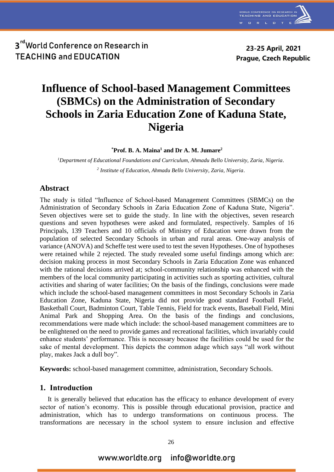

23-25 April, 2021 **Prague, Czech Republic** 

# **Influence of School-based Management Committees (SBMCs) on the Administration of Secondary Schools in Zaria Education Zone of Kaduna State, Nigeria**

**\*Prof. B. A. Maina<sup>1</sup> and Dr A. M. Jumare<sup>2</sup>**

*<sup>1</sup>Department of Educational Foundations and Curriculum, Ahmadu Bello University, Zaria, Nigeria. 2 Institute of Education, Ahmadu Bello University, Zaria, Nigeria*.

### **Abstract**

The study is titled "Influence of School-based Management Committees (SBMCs) on the Administration of Secondary Schools in Zaria Education Zone of Kaduna State, Nigeria". Seven objectives were set to guide the study. In line with the objectives, seven research questions and seven hypotheses were asked and formulated, respectively. Samples of 16 Principals, 139 Teachers and 10 officials of Ministry of Education were drawn from the population of selected Secondary Schools in urban and rural areas. One-way analysis of variance (ANOVA) and Scheffe test were used to test the seven Hypotheses. One of hypotheses were retained while 2 rejected. The study revealed some useful findings among which are: decision making process in most Secondary Schools in Zaria Education Zone was enhanced with the rational decisions arrived at; school-community relationship was enhanced with the members of the local community participating in activities such as sporting activities, cultural activities and sharing of water facilities; On the basis of the findings, conclusions were made which include the school-based management committees in most Secondary Schools in Zaria Education Zone, Kaduna State, Nigeria did not provide good standard Football Field, Basketball Court, Badminton Court, Table Tennis, Field for track events, Baseball Field, Mini Animal Park and Shopping Area. On the basis of the findings and conclusions, recommendations were made which include: the school-based management committees are to be enlightened on the need to provide games and recreational facilities, which invariably could enhance students' performance. This is necessary because the facilities could be used for the sake of mental development. This depicts the common adage which says "all work without play, makes Jack a dull boy".

**Keywords:** school-based management committee, administration, Secondary Schools.

#### **1. Introduction**

It is generally believed that education has the efficacy to enhance development of every sector of nation's economy. This is possible through educational provision, practice and administration, which has to undergo transformations on continuous process. The transformations are necessary in the school system to ensure inclusion and effective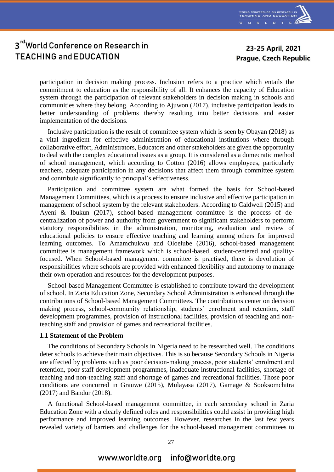

23-25 April, 2021 **Prague, Czech Republic** 

participation in decision making process. Inclusion refers to a practice which entails the commitment to education as the responsibility of all. It enhances the capacity of Education system through the participation of relevant stakeholders in decision making in schools and communities where they belong. According to Ajuwon (2017), inclusive participation leads to better understanding of problems thereby resulting into better decisions and easier implementation of the decisions.

Inclusive participation is the result of committee system which is seen by Obayan (2018) as a vital ingredient for effective administration of educational institutions where through collaborative effort, Administrators, Educators and other stakeholders are given the opportunity to deal with the complex educational issues as a group. It is considered as a domecratic method of school management, which according to Cotton (2016) allows employees, particularly teachers, adequate participation in any decisions that affect them through committee system and contribute significantly to principal's effectiveness.

Participation and committee system are what formed the basis for School-based Management Committees, which is a process to ensure inclusive and effective participation in management of school system by the relevant stakeholders. According to Caldwell (2015) and Ayeni & Ibukun (2017), school-based management committee is the process of decentralization of power and authority from government to significant stakeholders to perform statutory responsibilities in the administration, monitoring, evaluation and review of educational policies to ensure effective teaching and learning among others for improved learning outcomes. To Amamchukwu and Oloelube (2016), school-based management committee is management framework which is school-based, student-centered and qualityfocused. When School-based management committee is practised, there is devolution of responsibilities where schools are provided with enhanced flexibility and autonomy to manage their own operation and resources for the development purposes.

School-based Management Committee is established to contribute toward the development of school. In Zaria Education Zone, Secondary School Administration is enhanced through the contributions of School-based Management Committees. The contributions center on decision making process, school-community relationship, students' enrolment and retention, staff development programmes, provision of instructional facilities, provision of teaching and nonteaching staff and provision of games and recreational facilities.

#### **1.1 Statement of the Problem**

The conditions of Secondary Schools in Nigeria need to be researched well. The conditions deter schools to achieve their main objectives. This is so because Secondary Schools in Nigeria are affected by problems such as poor decision-making process, poor students' enrolment and retention, poor staff development programmes, inadequate instructional facilities, shortage of teaching and non-teaching staff and shortage of games and recreational facilities. Those poor conditions are concurred in Grauwe (2015), Mulayasa (2017), Gamage & Sooksomchitra (2017) and Bandur (2018).

A functional School-based management committee, in each secondary school in Zaria Education Zone with a clearly defined roles and responsibilities could assist in providing high performance and improved learning outcomes. However, researches in the last few years revealed variety of barriers and challenges for the school-based management committees to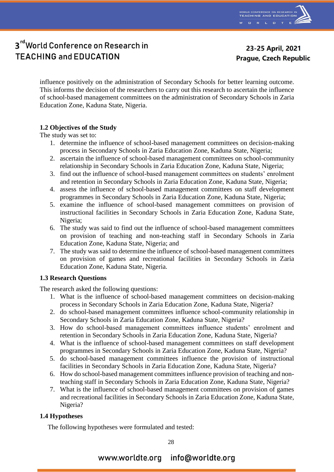

23-25 April, 2021 **Prague, Czech Republic** 

influence positively on the administration of Secondary Schools for better learning outcome. This informs the decision of the researchers to carry out this research to ascertain the influence of school-based management committees on the administration of Secondary Schools in Zaria Education Zone, Kaduna State, Nigeria.

#### **1.2 Objectives of the Study**

The study was set to:

- 1. determine the influence of school-based management committees on decision-making process in Secondary Schools in Zaria Education Zone, Kaduna State, Nigeria;
- 2. ascertain the influence of school-based management committees on school-community relationship in Secondary Schools in Zaria Education Zone, Kaduna State, Nigeria;
- 3. find out the influence of school-based management committees on students' enrolment and retention in Secondary Schools in Zaria Education Zone, Kaduna State, Nigeria;
- 4. assess the influence of school-based management committees on staff development programmes in Secondary Schools in Zaria Education Zone, Kaduna State, Nigeria;
- 5. examine the influence of school-based management committees on provision of instructional facilities in Secondary Schools in Zaria Education Zone, Kaduna State, Nigeria;
- 6. The study was said to find out the influence of school-based management committees on provision of teaching and non-teaching staff in Secondary Schools in Zaria Education Zone, Kaduna State, Nigeria; and
- 7. The study was said to determine the influence of school-based management committees on provision of games and recreational facilities in Secondary Schools in Zaria Education Zone, Kaduna State, Nigeria.

### **1.3 Research Questions**

The research asked the following questions:

- 1. What is the influence of school-based management committees on decision-making process in Secondary Schools in Zaria Education Zone, Kaduna State, Nigeria?
- 2. do school-based management committees influence school-community relationship in Secondary Schools in Zaria Education Zone, Kaduna State, Nigeria?
- 3. How do school-based management committees influence students' enrolment and retention in Secondary Schools in Zaria Education Zone, Kaduna State, Nigeria?
- 4. What is the influence of school-based management committees on staff development programmes in Secondary Schools in Zaria Education Zone, Kaduna State, Nigeria?
- 5. do school-based management committees influence the provision of instructional facilities in Secondary Schools in Zaria Education Zone, Kaduna State, Nigeria?
- 6. How do school-based management committees influence provision of teaching and nonteaching staff in Secondary Schools in Zaria Education Zone, Kaduna State, Nigeria?
- 7. What is the influence of school-based management committees on provision of games and recreational facilities in Secondary Schools in Zaria Education Zone, Kaduna State, Nigeria?

### **1.4 Hypotheses**

The following hypotheses were formulated and tested: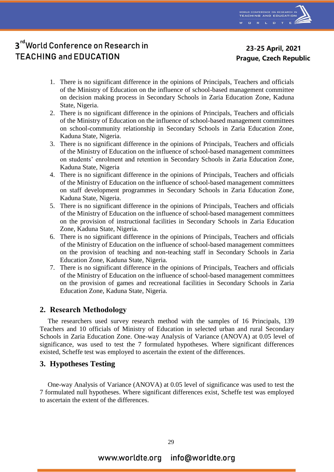

23-25 April, 2021 **Prague, Czech Republic** 

- 1. There is no significant difference in the opinions of Principals, Teachers and officials of the Ministry of Education on the influence of school-based management committee on decision making process in Secondary Schools in Zaria Education Zone, Kaduna State, Nigeria.
- 2. There is no significant difference in the opinions of Principals, Teachers and officials of the Ministry of Education on the influence of school-based management committees on school-community relationship in Secondary Schools in Zaria Education Zone, Kaduna State, Nigeria.
- 3. There is no significant difference in the opinions of Principals, Teachers and officials of the Ministry of Education on the influence of school-based management committees on students' enrolment and retention in Secondary Schools in Zaria Education Zone, Kaduna State, Nigeria
- 4. There is no significant difference in the opinions of Principals, Teachers and officials of the Ministry of Education on the influence of school-based management committees on staff development programmes in Secondary Schools in Zaria Education Zone, Kaduna State, Nigeria.
- 5. There is no significant difference in the opinions of Principals, Teachers and officials of the Ministry of Education on the influence of school-based management committees on the provision of instructional facilities in Secondary Schools in Zaria Education Zone, Kaduna State, Nigeria.
- 6. There is no significant difference in the opinions of Principals, Teachers and officials of the Ministry of Education on the influence of school-based management committees on the provision of teaching and non-teaching staff in Secondary Schools in Zaria Education Zone, Kaduna State, Nigeria.
- 7. There is no significant difference in the opinions of Principals, Teachers and officials of the Ministry of Education on the influence of school-based management committees on the provision of games and recreational facilities in Secondary Schools in Zaria Education Zone, Kaduna State, Nigeria.

### **2. Research Methodology**

The researchers used survey research method with the samples of 16 Principals, 139 Teachers and 10 officials of Ministry of Education in selected urban and rural Secondary Schools in Zaria Education Zone. One-way Analysis of Variance (ANOVA) at 0.05 level of significance, was used to test the 7 formulated hypotheses. Where significant differences existed, Scheffe test was employed to ascertain the extent of the differences.

### **3. Hypotheses Testing**

One-way Analysis of Variance (ANOVA) at 0.05 level of significance was used to test the 7 formulated null hypotheses. Where significant differences exist, Scheffe test was employed to ascertain the extent of the differences.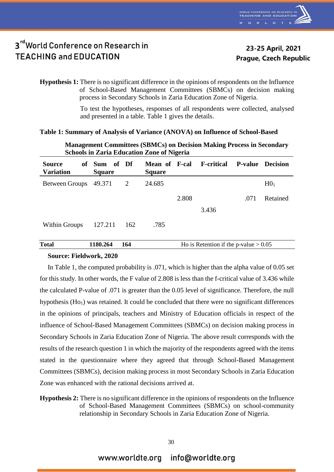

**Hypothesis 1:** There is no significant difference in the opinions of respondents on the Influence of School-Based Management Committees (SBMCs) on decision making process in Secondary Schools in Zaria Education Zone of Nigeria.

> To test the hypotheses, responses of all respondents were collected, analysed and presented in a table. Table 1 gives the details.

#### **Table 1: Summary of Analysis of Variance (ANOVA) on Influence of School-Based**

| <b>Management Committees (SDMCS) on Decision Making Process in Secondary</b><br><b>Schools in Zaria Education Zone of Nigeria</b> |                         |       |                                |       |                                         |                |                 |  |
|-----------------------------------------------------------------------------------------------------------------------------------|-------------------------|-------|--------------------------------|-------|-----------------------------------------|----------------|-----------------|--|
| <b>Source</b><br><b>Variation</b>                                                                                                 | of Sum<br><b>Square</b> | of Df | Mean of F-cal<br><b>Square</b> |       | <b>F-critical</b>                       | <b>P-value</b> | <b>Decision</b> |  |
| Between Groups                                                                                                                    | 49.371                  | 2     | 24.685                         |       |                                         |                | H0 <sub>1</sub> |  |
|                                                                                                                                   |                         |       |                                | 2.808 |                                         | .071           | Retained        |  |
|                                                                                                                                   |                         |       |                                |       | 3.436                                   |                |                 |  |
| Within Groups                                                                                                                     | 127.211                 | 162   | .785                           |       |                                         |                |                 |  |
| <b>Total</b>                                                                                                                      | 1180.264                | 164   |                                |       | Ho is Retention if the p-value $> 0.05$ |                |                 |  |

# **Management Committees (SBMCs) on Decision Making Process in Secondary**

#### **Source: Fieldwork, 2020**

In Table 1, the computed probability is .071, which is higher than the alpha value of 0.05 set for this study. In other words, the F value of 2.808 is less than the f-critical value of 3.436 while the calculated P-value of .071 is greater than the 0.05 level of significance. Therefore, the null hypothesis  $(Ho<sub>1</sub>)$  was retained. It could be concluded that there were no significant differences in the opinions of principals, teachers and Ministry of Education officials in respect of the influence of School-Based Management Committees (SBMCs) on decision making process in Secondary Schools in Zaria Education Zone of Nigeria. The above result corresponds with the results of the research question 1 in which the majority of the respondents agreed with the items stated in the questionnaire where they agreed that through School-Based Management Committees (SBMCs), decision making process in most Secondary Schools in Zaria Education Zone was enhanced with the rational decisions arrived at.

#### **Hypothesis 2:** There is no significant difference in the opinions of respondents on the Influence of School-Based Management Committees (SBMCs) on school-community relationship in Secondary Schools in Zaria Education Zone of Nigeria.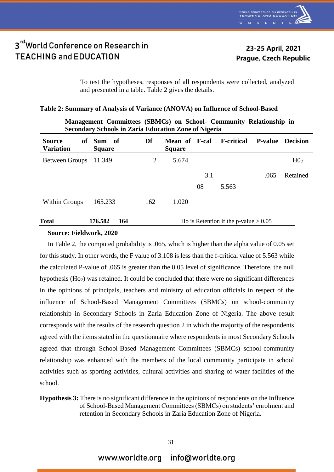

23-25 April, 2021 **Prague, Czech Republic** 

To test the hypotheses, responses of all respondents were collected, analyzed and presented in a table. Table 2 gives the details.

#### **Table 2: Summary of Analysis of Variance (ANOVA) on Influence of School-Based**

| Secondary Schools in Zaria Education Zone of Nigeria |                             |     |                                       |     |                                         |                |                 |  |
|------------------------------------------------------|-----------------------------|-----|---------------------------------------|-----|-----------------------------------------|----------------|-----------------|--|
| <b>Source</b><br>of<br><b>Variation</b>              | – Sum – of<br><b>Square</b> | Df  | <b>Mean of F-cal</b><br><b>Square</b> |     | <b>F</b> -critical                      | <b>P-value</b> | <b>Decision</b> |  |
| Between Groups                                       | 11.349                      | 2   | 5.674                                 |     |                                         |                | H0 <sub>2</sub> |  |
|                                                      |                             |     |                                       | 3.1 |                                         | .065           | Retained        |  |
|                                                      |                             |     |                                       | 08  | 5.563                                   |                |                 |  |
| Within Groups                                        | 165.233                     | 162 | 1.020                                 |     |                                         |                |                 |  |
| <b>Total</b>                                         | 176.582<br>164              |     |                                       |     | Ho is Retention if the p-value $> 0.05$ |                |                 |  |

### **Management Committees (SBMCs) on School- Community Relationship in Secondary Schools in Zaria Education Zone of Nigeria**

#### **Source: Fieldwork, 2020**

In Table 2, the computed probability is .065, which is higher than the alpha value of 0.05 set for this study. In other words, the F value of 3.108 is less than the f-critical value of 5.563 while the calculated P-value of .065 is greater than the 0.05 level of significance. Therefore, the null hypothesis (Ho<sub>2</sub>) was retained. It could be concluded that there were no significant differences in the opinions of principals, teachers and ministry of education officials in respect of the influence of School-Based Management Committees (SBMCs) on school-community relationship in Secondary Schools in Zaria Education Zone of Nigeria. The above result corresponds with the results of the research question 2 in which the majority of the respondents agreed with the items stated in the questionnaire where respondents in most Secondary Schools agreed that through School-Based Management Committees (SBMCs) school-community relationship was enhanced with the members of the local community participate in school activities such as sporting activities, cultural activities and sharing of water facilities of the school.

#### **Hypothesis 3:** There is no significant difference in the opinions of respondents on the Influence of School-Based Management Committees (SBMCs) on students' enrolment and retention in Secondary Schools in Zaria Education Zone of Nigeria.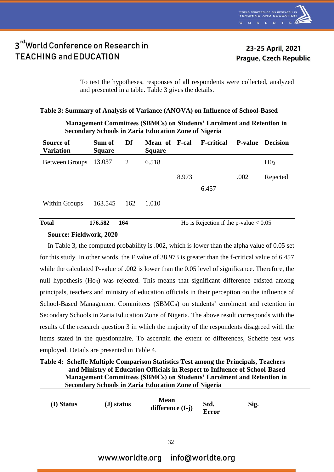

23-25 April, 2021 **Prague, Czech Republic** 

To test the hypotheses, responses of all respondents were collected, analyzed and presented in a table. Table 3 gives the details.

### **Table 3: Summary of Analysis of Variance (ANOVA) on Influence of School-Based**

| <b>Secondary Schools in Zaria Education Zone of Nigeria</b> |                         |     |                                       |       |                    |                |                 |  |  |
|-------------------------------------------------------------|-------------------------|-----|---------------------------------------|-------|--------------------|----------------|-----------------|--|--|
| Source of<br><b>Variation</b>                               | Sum of<br><b>Square</b> | Df  | <b>Mean of F-cal</b><br><b>Square</b> |       | <b>F</b> -critical | <b>P-value</b> | <b>Decision</b> |  |  |
| Between Groups 13.037                                       |                         | 2   | 6.518                                 |       |                    |                | H0 <sub>3</sub> |  |  |
|                                                             |                         |     |                                       | 8.973 |                    | .002           | Rejected        |  |  |
|                                                             |                         |     |                                       |       | 6.457              |                |                 |  |  |
| <b>Within Groups</b>                                        | 163.545                 | 162 | 1.010                                 |       |                    |                |                 |  |  |

 **Management Committees (SBMCs) on Students' Enrolment and Retention in** 

| <b>Total</b> | 176.582 | Ho is Rejection if the p-value $< 0.05$ |
|--------------|---------|-----------------------------------------|
|              |         |                                         |

### **Source: Fieldwork, 2020**

In Table 3, the computed probability is .002, which is lower than the alpha value of 0.05 set for this study. In other words, the F value of 38.973 is greater than the f-critical value of 6.457 while the calculated P-value of .002 is lower than the 0.05 level of significance. Therefore, the null hypothesis (Ho<sub>3</sub>) was rejected. This means that significant difference existed among principals, teachers and ministry of education officials in their perception on the influence of School-Based Management Committees (SBMCs) on students' enrolment and retention in Secondary Schools in Zaria Education Zone of Nigeria. The above result corresponds with the results of the research question 3 in which the majority of the respondents disagreed with the items stated in the questionnaire. To ascertain the extent of differences, Scheffe test was employed. Details are presented in Table 4.

| Table 4: Scheffe Multiple Comparison Statistics Test among the Principals, Teachers |
|-------------------------------------------------------------------------------------|
| and Ministry of Education Officials in Respect to Influence of School-Based         |
| <b>Management Committees (SBMCs) on Students' Enrolment and Retention in</b>        |
| <b>Secondary Schools in Zaria Education Zone of Nigeria</b>                         |

| (I) Status | $J$ ) status | <b>Mean</b><br>difference $(I-j)$ | Std.<br>Error | Sig. |  |
|------------|--------------|-----------------------------------|---------------|------|--|
|            |              |                                   |               |      |  |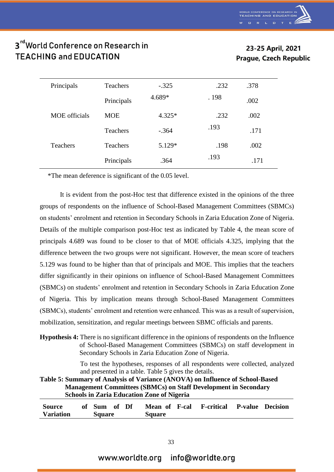### 23-25 April, 2021 **Prague, Czech Republic**

| Principals           | <b>Teachers</b> | $-.325$  | .232  | .378 |
|----------------------|-----------------|----------|-------|------|
|                      | Principals      | 4.689*   | . 198 | .002 |
| <b>MOE</b> officials | <b>MOE</b>      | $4.325*$ | .232  | .002 |
|                      | <b>Teachers</b> | $-.364$  | .193  | .171 |
| <b>Teachers</b>      | <b>Teachers</b> | 5.129*   | .198  | .002 |
|                      | Principals      | .364     | .193  | .171 |

\*The mean deference is significant of the 0.05 level.

It is evident from the post-Hoc test that difference existed in the opinions of the three groups of respondents on the influence of School-Based Management Committees (SBMCs) on students' enrolment and retention in Secondary Schools in Zaria Education Zone of Nigeria. Details of the multiple comparison post-Hoc test as indicated by Table 4, the mean score of principals 4.689 was found to be closer to that of MOE officials 4.325, implying that the difference between the two groups were not significant. However, the mean score of teachers 5.129 was found to be higher than that of principals and MOE. This implies that the teachers differ significantly in their opinions on influence of School-Based Management Committees (SBMCs) on students' enrolment and retention in Secondary Schools in Zaria Education Zone of Nigeria. This by implication means through School-Based Management Committees (SBMCs), students' enrolment and retention were enhanced. This was as a result of supervision, mobilization, sensitization, and regular meetings between SBMC officials and parents.

**Hypothesis 4:** There is no significant difference in the opinions of respondents on the Influence of School-Based Management Committees (SBMCs) on staff development in Secondary Schools in Zaria Education Zone of Nigeria.

> To test the hypotheses, responses of all respondents were collected, analyzed and presented in a table. Table 5 gives the details.

### **Table 5: Summary of Analysis of Variance (ANOVA) on Influence of School-Based Management Committees (SBMCs) on Staff Development in Secondary Schools in Zaria Education Zone of Nigeria**

| <b>Source</b>    | of Sum of Df  |  | Mean of F-cal | <b>F-critical P-value Decision</b> |  |
|------------------|---------------|--|---------------|------------------------------------|--|
| <b>Variation</b> | <b>Square</b> |  | <b>Square</b> |                                    |  |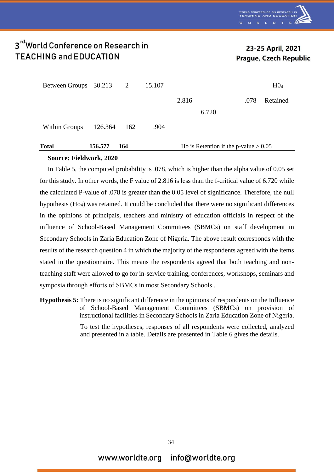

### 23-25 April, 2021 **Prague, Czech Republic**

| <b>Total</b>            | 156.577 | 164 |        |       | Ho is Retention if the p-value $> 0.05$ |      |                 |
|-------------------------|---------|-----|--------|-------|-----------------------------------------|------|-----------------|
| Within Groups           | 126.364 | 162 | .904   |       | 6.720                                   |      |                 |
|                         |         |     |        | 2.816 |                                         | .078 | Retained        |
| Between Groups 30.213 2 |         |     | 15.107 |       |                                         |      | H0 <sub>4</sub> |

#### **Source: Fieldwork, 2020**

In Table 5, the computed probability is .078, which is higher than the alpha value of 0.05 set for this study. In other words, the F value of 2.816 is less than the f-critical value of 6.720 while the calculated P-value of .078 is greater than the 0.05 level of significance. Therefore, the null hypothesis (Ho4) was retained. It could be concluded that there were no significant differences in the opinions of principals, teachers and ministry of education officials in respect of the influence of School-Based Management Committees (SBMCs) on staff development in Secondary Schools in Zaria Education Zone of Nigeria. The above result corresponds with the results of the research question 4 in which the majority of the respondents agreed with the items stated in the questionnaire. This means the respondents agreed that both teaching and nonteaching staff were allowed to go for in-service training, conferences, workshops, seminars and symposia through efforts of SBMCs in most Secondary Schools .

**Hypothesis 5:** There is no significant difference in the opinions of respondents on the Influence of School-Based Management Committees (SBMCs) on provision of instructional facilities in Secondary Schools in Zaria Education Zone of Nigeria. To test the hypotheses, responses of all respondents were collected, analyzed

and presented in a table. Details are presented in Table 6 gives the details.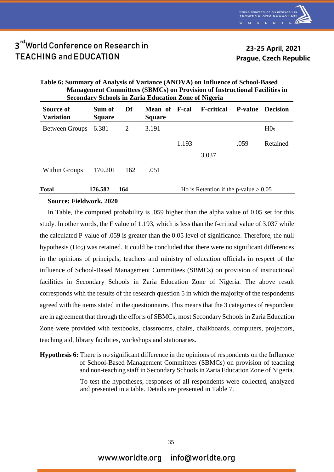

### 23-25 April, 2021 **Prague, Czech Republic**

#### **Table 6: Summary of Analysis of Variance (ANOVA) on Influence of School-Based Management Committees (SBMCs) on Provision of Instructional Facilities in Secondary Schools in Zaria Education Zone of Nigeria Source of Variation Sum of Square Df Mean of Square F-cal F-critical P-value Decision** Between Groups 6.381 2 3.191 H0<sub>5</sub> 1.193 3.037 .059 Retained Within Groups 170.201 162 1.051

### **Total** 176.582 164 Ho is Retention if the p-value > 0.05

### **Source: Fieldwork, 2020**

In Table, the computed probability is .059 higher than the alpha value of 0.05 set for this study. In other words, the F value of 1.193, which is less than the f-critical value of 3.037 while the calculated P-value of .059 is greater than the 0.05 level of significance. Therefore, the null hypothesis  $(H<sub>05</sub>)$  was retained. It could be concluded that there were no significant differences in the opinions of principals, teachers and ministry of education officials in respect of the influence of School-Based Management Committees (SBMCs) on provision of instructional facilities in Secondary Schools in Zaria Education Zone of Nigeria. The above result corresponds with the results of the research question 5 in which the majority of the respondents agreed with the items stated in the questionnaire. This means that the 3 categories of respondent are in agreement that through the efforts of SBMCs, most Secondary Schools in Zaria Education Zone were provided with textbooks, classrooms, chairs, chalkboards, computers, projectors, teaching aid, library facilities, workshops and stationaries.

**Hypothesis 6:** There is no significant difference in the opinions of respondents on the Influence of School-Based Management Committees (SBMCs) on provision of teaching and non-teaching staff in Secondary Schools in Zaria Education Zone of Nigeria.

> To test the hypotheses, responses of all respondents were collected, analyzed and presented in a table. Details are presented in Table 7.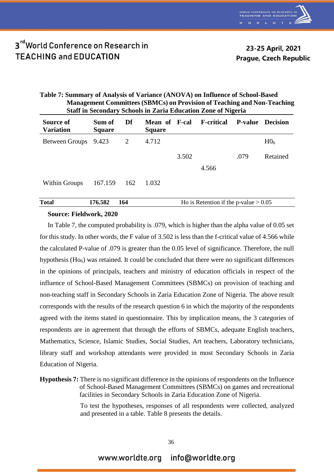

23-25 April, 2021 **Prague, Czech Republic** 

| Table 7: Summary of Analysis of Variance (ANOVA) on Influence of School-Based  |
|--------------------------------------------------------------------------------|
| <b>Management Committees (SBMCs) on Provision of Teaching and Non-Teaching</b> |
| <b>Staff in Secondary Schools in Zaria Education Zone of Nigeria</b>           |

| Source of<br><b>Variation</b> | Sum of<br><b>Square</b> | Df  | <b>Mean of F-cal</b><br><b>Square</b> |       | <b>F-critical</b>                       | <b>P-value</b> | <b>Decision</b> |
|-------------------------------|-------------------------|-----|---------------------------------------|-------|-----------------------------------------|----------------|-----------------|
| Between Groups 9.423          |                         | 2   | 4.712                                 |       |                                         |                | H0 <sub>6</sub> |
|                               |                         |     |                                       | 3.502 |                                         | .079           | Retained        |
|                               |                         |     |                                       |       | 4.566                                   |                |                 |
| Within Groups                 | 167.159                 | 162 | 1.032                                 |       |                                         |                |                 |
| <b>Total</b>                  | 176.582                 | 164 |                                       |       | Ho is Retention if the p-value $> 0.05$ |                |                 |

#### **Source: Fieldwork, 2020**

In Table 7, the computed probability is .079, which is higher than the alpha value of 0.05 set for this study. In other words, the F value of 3.502 is less than the f-critical value of 4.566 while the calculated P-value of .079 is greater than the 0.05 level of significance. Therefore, the null hypothesis  $(H<sub>06</sub>)$  was retained. It could be concluded that there were no significant differences in the opinions of principals, teachers and ministry of education officials in respect of the influence of School-Based Management Committees (SBMCs) on provision of teaching and non-teaching staff in Secondary Schools in Zaria Education Zone of Nigeria. The above result corresponds with the results of the research question 6 in which the majority of the respondents agreed with the items stated in questionnaire. This by implication means, the 3 categories of respondents are in agreement that through the efforts of SBMCs, adequate English teachers, Mathematics, Science, Islamic Studies, Social Studies, Art teachers, Laboratory technicians, library staff and workshop attendants were provided in most Secondary Schools in Zaria Education of Nigeria.

To test the hypotheses, responses of all respondents were collected, analyzed and presented in a table. Table 8 presents the details.

**Hypothesis 7:** There is no significant difference in the opinions of respondents on the Influence of School-Based Management Committees (SBMCs) on games and recreational facilities in Secondary Schools in Zaria Education Zone of Nigeria.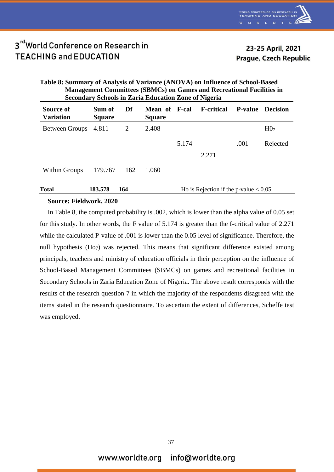

### 23-25 April, 2021 **Prague, Czech Republic**

#### **Table 8: Summary of Analysis of Variance (ANOVA) on Influence of School-Based Management Committees (SBMCs) on Games and Recreational Facilities in Secondary Schools in Zaria Education Zone of Nigeria Source of Variation Sum of Square Df Mean of Square F-cal F-critical P-value Decision** Between Groups  $4.811$  2  $2.408$  H07 5.174 .001 Rejected

2.271

Within Groups 179.767 162 1.060

| <b>Total</b> | E 70<br>. റ~<br>താ.ാ | Ho is Rejection if the p-value $< 0.05$ |
|--------------|----------------------|-----------------------------------------|
|              |                      |                                         |

#### **Source: Fieldwork, 2020**

In Table 8, the computed probability is .002, which is lower than the alpha value of 0.05 set for this study. In other words, the F value of 5.174 is greater than the f-critical value of 2.271 while the calculated P-value of .001 is lower than the 0.05 level of significance. Therefore, the null hypothesis  $(Ho<sub>7</sub>)$  was rejected. This means that significant difference existed among principals, teachers and ministry of education officials in their perception on the influence of School-Based Management Committees (SBMCs) on games and recreational facilities in Secondary Schools in Zaria Education Zone of Nigeria. The above result corresponds with the results of the research question 7 in which the majority of the respondents disagreed with the items stated in the research questionnaire. To ascertain the extent of differences, Scheffe test was employed.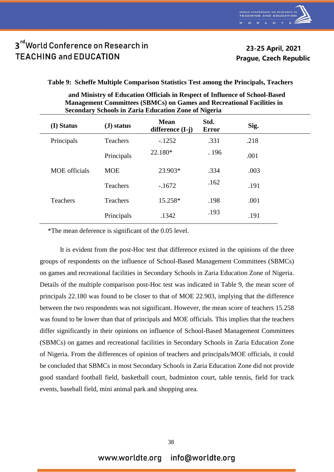23-25 April, 2021 **Prague, Czech Republic** 

**Table 9: Scheffe Multiple Comparison Statistics Test among the Principals, Teachers** 

| and Ministry of Education Officials in Respect of Influence of School-Based<br><b>Management Committees (SBMCs) on Games and Recreational Facilities in</b><br><b>Secondary Schools in Zaria Education Zone of Nigeria</b> |                                  |             |      |                                 |  |  |  |
|----------------------------------------------------------------------------------------------------------------------------------------------------------------------------------------------------------------------------|----------------------------------|-------------|------|---------------------------------|--|--|--|
| $\Gamma$ $\Gamma$ $\Gamma$                                                                                                                                                                                                 | $\left(\mathbf{T}\right)$ ototua | <b>Mean</b> | Std. | ${\bf c}$ : $\boldsymbol\alpha$ |  |  |  |

| (I) Status           | $J$ ) status    | <b>Mean</b><br>difference $(I-j)$ | Std.<br><b>Error</b> | Sig. |
|----------------------|-----------------|-----------------------------------|----------------------|------|
| Principals           | <b>Teachers</b> | $-1252$                           | .331                 | .218 |
|                      | Principals      | 22.180*                           | . 196                | .001 |
| <b>MOE</b> officials | <b>MOE</b>      | 23.903*                           | .334                 | .003 |
|                      | <b>Teachers</b> | $-1672$                           | .162                 | .191 |
| <b>Teachers</b>      | <b>Teachers</b> | 15.258*                           | .198                 | .001 |
|                      | Principals      | .1342                             | .193                 | .191 |

\*The mean deference is significant of the 0.05 level.

It is evident from the post-Hoc test that difference existed in the opinions of the three groups of respondents on the influence of School-Based Management Committees (SBMCs) on games and recreational facilities in Secondary Schools in Zaria Education Zone of Nigeria. Details of the multiple comparison post-Hoc test was indicated in Table 9, the mean score of principals 22.180 was found to be closer to that of MOE 22.903, implying that the difference between the two respondents was not significant. However, the mean score of teachers 15.258 was found to be lower than that of principals and MOE officials. This implies that the teachers differ significantly in their opinions on influence of School-Based Management Committees (SBMCs) on games and recreational facilities in Secondary Schools in Zaria Education Zone of Nigeria. From the differences of opinion of teachers and principals/MOE officials, it could be concluded that SBMCs in most Secondary Schools in Zaria Education Zone did not provide good standard football field, basketball court, badminton court, table tennis, field for track events, baseball field, mini animal park and shopping area.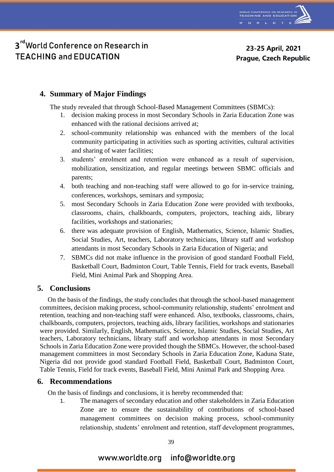

### 23-25 April, 2021 **Prague, Czech Republic**

### **4. Summary of Major Findings**

The study revealed that through School-Based Management Committees (SBMCs):

- 1. decision making process in most Secondary Schools in Zaria Education Zone was enhanced with the rational decisions arrived at;
- 2. school-community relationship was enhanced with the members of the local community participating in activities such as sporting activities, cultural activities and sharing of water facilities;
- 3. students' enrolment and retention were enhanced as a result of supervision, mobilization, sensitization, and regular meetings between SBMC officials and parents;
- 4. both teaching and non-teaching staff were allowed to go for in-service training, conferences, workshops, seminars and symposia;
- 5. most Secondary Schools in Zaria Education Zone were provided with textbooks, classrooms, chairs, chalkboards, computers, projectors, teaching aids, library facilities, workshops and stationaries;
- 6. there was adequate provision of English, Mathematics, Science, Islamic Studies, Social Studies, Art, teachers, Laboratory technicians, library staff and workshop attendants in most Secondary Schools in Zaria Education of Nigeria; and
- 7. SBMCs did not make influence in the provision of good standard Football Field, Basketball Court, Badminton Court, Table Tennis, Field for track events, Baseball Field, Mini Animal Park and Shopping Area.

### **5. Conclusions**

On the basis of the findings, the study concludes that through the school-based management committees, decision making process, school-community relationship, students' enrolment and retention, teaching and non-teaching staff were enhanced. Also, textbooks, classrooms, chairs, chalkboards, computers, projectors, teaching aids, library facilities, workshops and stationaries were provided. Similarly, English, Mathematics, Science, Islamic Studies, Social Studies, Art teachers, Laboratory technicians, library staff and workshop attendants in most Secondary Schools in Zaria Education Zone were provided though the SBMCs. However, the school-based management committees in most Secondary Schools in Zaria Education Zone, Kaduna State, Nigeria did not provide good standard Football Field, Basketball Court, Badminton Court, Table Tennis, Field for track events, Baseball Field, Mini Animal Park and Shopping Area.

### **6. Recommendations**

On the basis of findings and conclusions, it is hereby recommended that:

1. The managers of secondary education and other stakeholders in Zaria Education Zone are to ensure the sustainability of contributions of school-based management committees on decision making process, school-community relationship, students' enrolment and retention, staff development programmes,

### www.worldte.org info@worldte.org